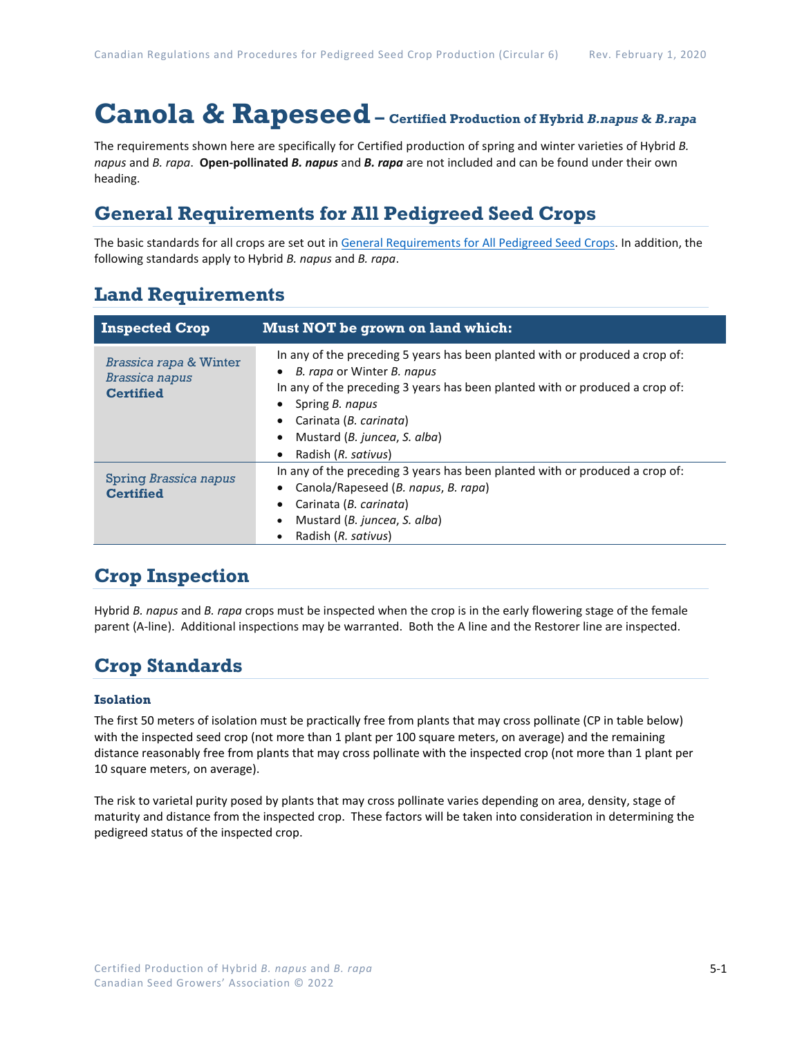# **Canola & Rapeseed – Certified Production of Hybrid** *B.napus* **&** *B.rapa*

The requirements shown here are specifically for Certified production of spring and winter varieties of Hybrid *B. napus* and *B. rapa*. **Open-pollinated** *B. napus* and *B. rapa* are not included and can be found under their own heading.

## **General Requirements for All Pedigreed Seed Crops**

The basic standards for all crops are set out i[n General Requirements for All Pedigreed Seed](https://seedgrowers.ca/wp-content/uploads/2020/01/GENERAL-REQUIREMENTS-ALL-CROPS_EN.pdf) Crops. In addition, the following standards apply to Hybrid *B. napus* and *B. rapa*.

### **Land Requirements**

| <b>Inspected Crop</b>                                                          | Must NOT be grown on land which:                                                                                                                                                                                                                                                                            |
|--------------------------------------------------------------------------------|-------------------------------------------------------------------------------------------------------------------------------------------------------------------------------------------------------------------------------------------------------------------------------------------------------------|
| <b>Brassica rapa &amp; Winter</b><br><b>Brassica napus</b><br><b>Certified</b> | In any of the preceding 5 years has been planted with or produced a crop of:<br>B. rapa or Winter B. napus<br>$\bullet$<br>In any of the preceding 3 years has been planted with or produced a crop of:<br>Spring B. napus<br>Carinata (B. carinata)<br>Mustard (B. juncea, S. alba)<br>Radish (R. sativus) |
| Spring Brassica napus<br><b>Certified</b>                                      | In any of the preceding 3 years has been planted with or produced a crop of:<br>Canola/Rapeseed (B. napus, B. rapa)<br>Carinata (B. carinata)<br>Mustard (B. juncea, S. alba)<br>Radish (R. sativus)                                                                                                        |

### **Crop Inspection**

Hybrid *B. napus* and *B. rapa* crops must be inspected when the crop is in the early flowering stage of the female parent (A-line). Additional inspections may be warranted. Both the A line and the Restorer line are inspected.

### **Crop Standards**

#### **Isolation**

The first 50 meters of isolation must be practically free from plants that may cross pollinate (CP in table below) with the inspected seed crop (not more than 1 plant per 100 square meters, on average) and the remaining distance reasonably free from plants that may cross pollinate with the inspected crop (not more than 1 plant per 10 square meters, on average).

The risk to varietal purity posed by plants that may cross pollinate varies depending on area, density, stage of maturity and distance from the inspected crop. These factors will be taken into consideration in determining the pedigreed status of the inspected crop.